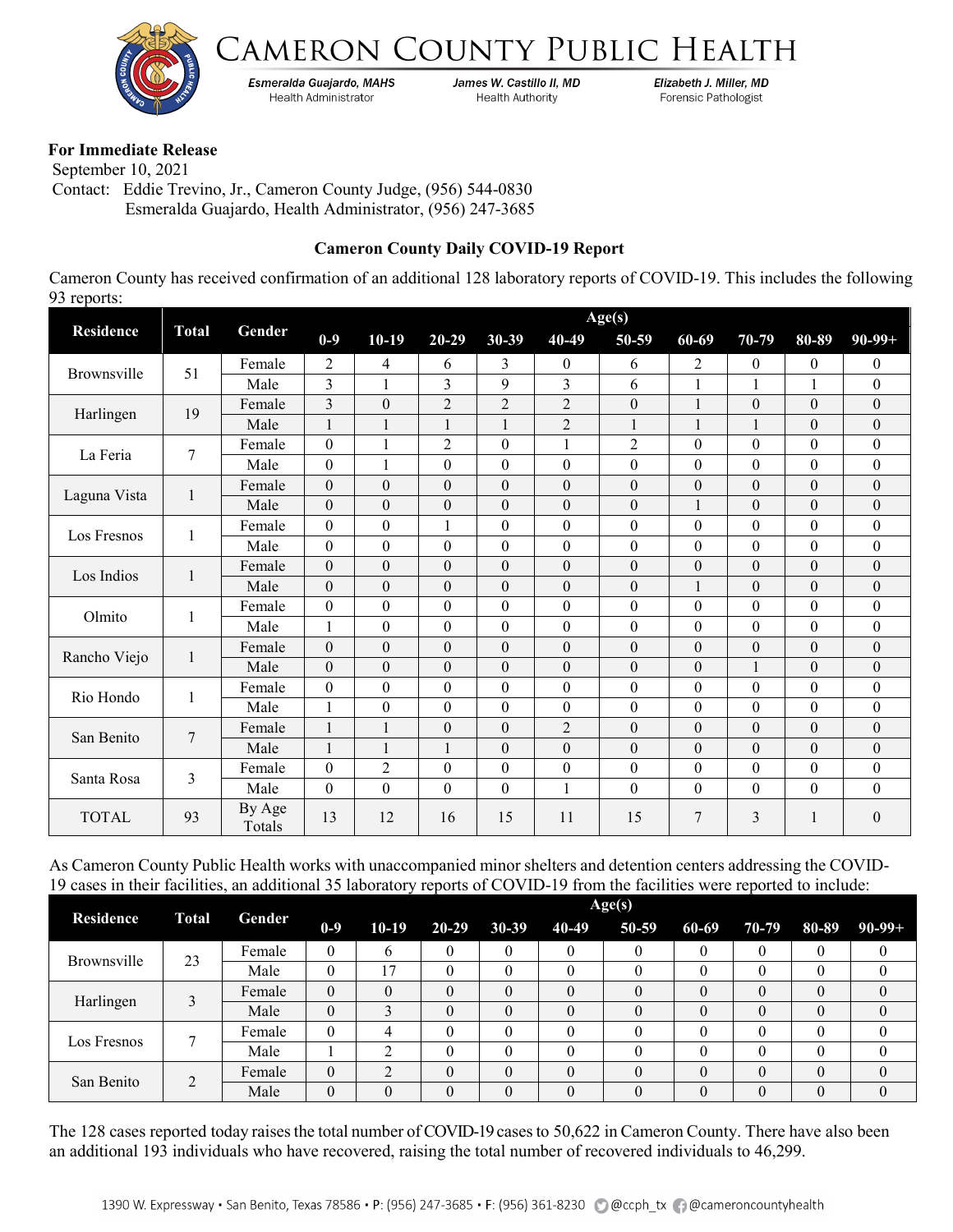



Esmeralda Guajardo, MAHS **Health Administrator** 

James W. Castillo II, MD **Health Authority** 

Elizabeth J. Miller, MD Forensic Pathologist

## **For Immediate Release**

 September 10, 2021 Contact: Eddie Trevino, Jr., Cameron County Judge, (956) 544-0830 Esmeralda Guajardo, Health Administrator, (956) 247-3685

## **Cameron County Daily COVID-19 Report**

Cameron County has received confirmation of an additional 128 laboratory reports of COVID-19. This includes the following 93 reports:

|                  | <b>Total</b> | Age(s)           |                  |                  |                  |                  |                |                  |                  |                  |                  |                  |
|------------------|--------------|------------------|------------------|------------------|------------------|------------------|----------------|------------------|------------------|------------------|------------------|------------------|
| <b>Residence</b> |              | Gender           | $0-9$            | $10-19$          | $20 - 29$        | $30 - 39$        | 40-49          | 50-59            | 60-69            | 70-79            | 80-89            | $90-99+$         |
| Brownsville      | 51           | Female           | 2                | 4                | 6                | 3                | $\overline{0}$ | 6                | 2                | $\boldsymbol{0}$ | $\overline{0}$   | 0                |
|                  |              | Male             | 3                |                  | 3                | 9                | $\overline{3}$ | 6                | 1                |                  | 1                | $\boldsymbol{0}$ |
| Harlingen        | 19           | Female           | 3                | $\theta$         | $\overline{2}$   | $\overline{2}$   | $\overline{2}$ | $\theta$         | 1                | $\theta$         | $\theta$         | $\boldsymbol{0}$ |
|                  |              | Male             | $\mathbf{1}$     | $\mathbf{1}$     | $\mathbf{1}$     | $\mathbf{1}$     | $\overline{2}$ | $\mathbf{1}$     | $\mathbf{1}$     | 1                | $\boldsymbol{0}$ | $\mathbf{0}$     |
| La Feria         | 7            | Female           | $\boldsymbol{0}$ | 1                | $\overline{2}$   | $\boldsymbol{0}$ | 1              | $\overline{2}$   | $\boldsymbol{0}$ | $\theta$         | $\boldsymbol{0}$ | $\boldsymbol{0}$ |
|                  |              | Male             | $\boldsymbol{0}$ | 1                | $\mathbf{0}$     | $\theta$         | $\Omega$       | $\theta$         | $\mathbf{0}$     | $\theta$         | $\Omega$         | $\boldsymbol{0}$ |
| Laguna Vista     | 1            | Female           | $\overline{0}$   | $\theta$         | $\mathbf{0}$     | $\theta$         | $\theta$       | $\theta$         | $\overline{0}$   | $\theta$         | $\theta$         | $\overline{0}$   |
|                  |              | Male             | $\boldsymbol{0}$ | $\theta$         | $\theta$         | $\theta$         | $\theta$       | $\theta$         | $\mathbf{1}$     | $\theta$         | $\theta$         | $\boldsymbol{0}$ |
| Los Fresnos      | 1            | Female           | $\boldsymbol{0}$ | $\boldsymbol{0}$ | $\mathbf{1}$     | $\theta$         | $\Omega$       | $\boldsymbol{0}$ | $\boldsymbol{0}$ | $\boldsymbol{0}$ | $\boldsymbol{0}$ | $\boldsymbol{0}$ |
|                  |              | Male             | $\boldsymbol{0}$ | $\theta$         | $\theta$         | $\theta$         | $\Omega$       | $\theta$         | $\theta$         | $\theta$         | $\theta$         | $\boldsymbol{0}$ |
| Los Indios       | 1            | Female           | $\boldsymbol{0}$ | $\theta$         | $\boldsymbol{0}$ | $\mathbf{0}$     | $\Omega$       | $\theta$         | $\boldsymbol{0}$ | $\theta$         | $\theta$         | $\boldsymbol{0}$ |
|                  |              | Male             | $\theta$         | $\theta$         | $\theta$         | $\theta$         | $\Omega$       | $\theta$         | $\mathbf{1}$     | $\theta$         | $\theta$         | $\boldsymbol{0}$ |
| Olmito           | 1            | Female           | $\theta$         | $\theta$         | $\theta$         | $\theta$         | $\Omega$       | $\theta$         | $\theta$         | $\theta$         | $\theta$         | $\theta$         |
|                  |              | Male             | 1                | $\theta$         | $\theta$         | $\theta$         | $\theta$       | $\theta$         | $\boldsymbol{0}$ | $\theta$         | $\theta$         | $\boldsymbol{0}$ |
| Rancho Viejo     | $\mathbf{1}$ | Female           | $\boldsymbol{0}$ | $\boldsymbol{0}$ | $\theta$         | $\theta$         | $\theta$       | $\theta$         | $\boldsymbol{0}$ | $\theta$         | $\theta$         | $\boldsymbol{0}$ |
|                  |              | Male             | $\boldsymbol{0}$ | $\mathbf{0}$     | $\boldsymbol{0}$ | $\mathbf{0}$     | $\theta$       | $\theta$         | $\boldsymbol{0}$ | $\mathbf{1}$     | $\boldsymbol{0}$ | $\boldsymbol{0}$ |
| Rio Hondo        | 1            | Female           | $\boldsymbol{0}$ | $\theta$         | $\boldsymbol{0}$ | $\theta$         | $\Omega$       | $\theta$         | $\boldsymbol{0}$ | $\theta$         | $\theta$         | $\boldsymbol{0}$ |
|                  |              | Male             | $\mathbf{1}$     | $\mathbf{0}$     | $\boldsymbol{0}$ | $\mathbf{0}$     | $\mathbf{0}$   | $\mathbf{0}$     | $\boldsymbol{0}$ | $\overline{0}$   | $\theta$         | $\boldsymbol{0}$ |
| San Benito       | 7            | Female           | $\mathbf{1}$     | 1                | $\boldsymbol{0}$ | $\mathbf{0}$     | $\overline{2}$ | $\theta$         | $\boldsymbol{0}$ | $\theta$         | $\theta$         | $\boldsymbol{0}$ |
|                  |              | Male             | $\mathbf{1}$     | $\mathbf{1}$     | $\mathbf{1}$     | $\theta$         | $\Omega$       | $\theta$         | $\overline{0}$   | $\boldsymbol{0}$ | $\theta$         | $\boldsymbol{0}$ |
| Santa Rosa       | 3            | Female           | $\mathbf{0}$     | $\overline{2}$   | $\mathbf{0}$     | $\theta$         | $\theta$       | $\theta$         | $\boldsymbol{0}$ | $\theta$         | $\overline{0}$   | $\boldsymbol{0}$ |
|                  |              | Male             | $\mathbf{0}$     | $\boldsymbol{0}$ | $\mathbf{0}$     | $\boldsymbol{0}$ | 1              | $\mathbf{0}$     | $\boldsymbol{0}$ | $\theta$         | $\overline{0}$   | $\boldsymbol{0}$ |
| <b>TOTAL</b>     | 93           | By Age<br>Totals | 13               | 12               | 16               | 15               | 11             | 15               | 7                | 3                | 1                | $\boldsymbol{0}$ |

As Cameron County Public Health works with unaccompanied minor shelters and detention centers addressing the COVID-19 cases in their facilities, an additional 35 laboratory reports of COVID-19 from the facilities were reported to include:

|                  | <b>Total</b> |        | Age(s)         |         |           |           |       |          |       |       |          |                |  |
|------------------|--------------|--------|----------------|---------|-----------|-----------|-------|----------|-------|-------|----------|----------------|--|
| <b>Residence</b> |              | Gender | $0-9$          | $10-19$ | $20 - 29$ | $30 - 39$ | 40-49 | 50-59    | 60-69 | 70-79 | 80-89    | $90 - 99 +$    |  |
| Brownsville      | 23           | Female | $\mathbf{0}$   | b       | $\theta$  |           |       | $\theta$ | U     |       | $_{0}$   | $\theta$       |  |
|                  |              | Male   | $\theta$       | 17      | $\theta$  |           |       | $\theta$ |       |       |          | 0              |  |
| Harlingen        |              | Female | $\overline{0}$ |         | $\theta$  |           |       |          |       |       | 0        | $\overline{0}$ |  |
|                  |              | Male   | 0              |         | $\theta$  |           |       | $\theta$ |       |       | $\theta$ | $\theta$       |  |
| Los Fresnos      |              | Female | $\theta$       |         | $\theta$  |           |       |          |       |       |          | $\theta$       |  |
|                  |              | Male   |                | ◠       | $\theta$  |           |       | $\theta$ |       |       |          | $\theta$       |  |
| San Benito       | 2            | Female | $\mathbf{0}$   |         | $\theta$  |           |       | $\Omega$ |       |       | 0        | $\theta$       |  |
|                  |              | Male   | $\theta$       | 0       | $\theta$  | $\Omega$  |       | $\theta$ |       |       |          | $\theta$       |  |

The 128 cases reported today raises the total number of COVID-19 cases to 50,622 in Cameron County. There have also been an additional 193 individuals who have recovered, raising the total number of recovered individuals to 46,299.